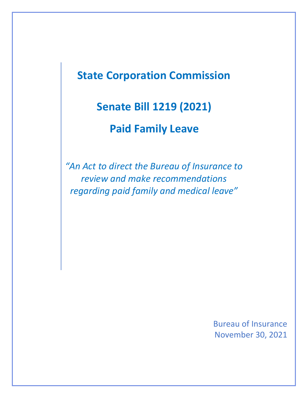# **State Corporation Commission**

# **Senate Bill 1219 (2021)**

# **Paid Family Leave**

*"An Act to direct the Bureau of Insurance to review and make recommendations regarding paid family and medical leave"*

> Bureau of Insurance November 30, 2021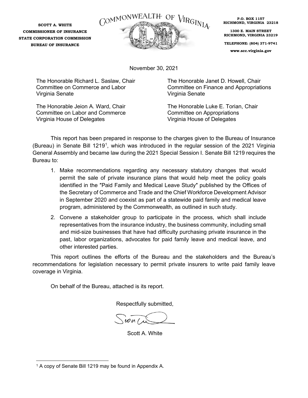**SCOTT A. WHITE COMMISSIONER OF INSURANCE STATE CORPORATION COMMISSION BUREAU OF INSURANCE**



**P.O. BOX 1157 RICHMOND, VIRGINIA 23218**

**1300 E. MAIN STREET RICHMOND, VIRGINIA 23219**

**TELEPHONE: (804) 371-9741**

**www.scc.virginia.gov**

November 30, 2021

The Honorable Richard L. Saslaw, Chair Committee on Commerce and Labor Virginia Senate

The Honorable Jeion A. Ward, Chair Committee on Labor and Commerce Virginia House of Delegates

The Honorable Janet D. Howell, Chair Committee on Finance and Appropriations Virginia Senate

The Honorable Luke E. Torian, Chair Committee on Appropriations Virginia House of Delegates

This report has been prepared in response to the charges given to the Bureau of Insurance (Bureau) in Senate Bill [1](#page-3-0)219<sup>1</sup>, which was introduced in the regular session of the 2021 Virginia General Assembly and became law during the 2021 Special Session I. Senate Bill 1219 requires the Bureau to:

- 1. Make recommendations regarding any necessary statutory changes that would permit the sale of private insurance plans that would help meet the policy goals identified in the ″Paid Family and Medical Leave Study″ published by the Offices of the Secretary of Commerce and Trade and the Chief Workforce Development Advisor in September 2020 and coexist as part of a statewide paid family and medical leave program, administered by the Commonwealth, as outlined in such study.
- 2. Convene a stakeholder group to participate in the process, which shall include representatives from the insurance industry, the business community, including small and mid-size businesses that have had difficulty purchasing private insurance in the past, labor organizations, advocates for paid family leave and medical leave, and other interested parties.

This report outlines the efforts of the Bureau and the stakeholders and the Bureau's recommendations for legislation necessary to permit private insurers to write paid family leave coverage in Virginia.

On behalf of the Bureau, attached is its report.

Respectfully submitted,

Scott A. White

<sup>&</sup>lt;sup>1</sup> A copy of Senate Bill 1219 may be found in Appendix A.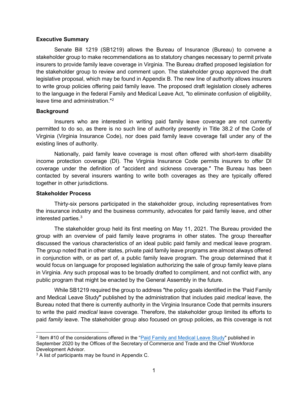#### **Executive Summary**

Senate Bill 1219 (SB1219) allows the Bureau of Insurance (Bureau) to convene a stakeholder group to make recommendations as to statutory changes necessary to permit private insurers to provide family leave coverage in Virginia. The Bureau drafted proposed legislation for the stakeholder group to review and comment upon. The stakeholder group approved the draft legislative proposal, which may be found in Appendix B. The new line of authority allows insurers to write group policies offering paid family leave. The proposed draft legislation closely adheres to the language in the federal Family and Medical Leave Act, ″to eliminate confusion of eligibility, leave time and administration.″[2](#page-2-0)

#### **Background**

Insurers who are interested in writing paid family leave coverage are not currently permitted to do so, as there is no such line of authority presently in Title 38.2 of the Code of Virginia (Virginia Insurance Code), nor does paid family leave coverage fall under any of the existing lines of authority.

Nationally, paid family leave coverage is most often offered with short-term disability income protection coverage (DI). The Virginia Insurance Code permits insurers to offer DI coverage under the definition of ″accident and sickness coverage.″ The Bureau has been contacted by several insurers wanting to write both coverages as they are typically offered together in other jurisdictions.

#### **Stakeholder Process**

Thirty-six persons participated in the stakeholder group, including representatives from the insurance industry and the business community, advocates for paid family leave, and other interested parties. [3](#page-2-1)

The stakeholder group held its first meeting on May 11, 2021. The Bureau provided the group with an overview of paid family leave programs in other states. The group thereafter discussed the various characteristics of an ideal public paid family and medical leave program. The group noted that in other states, private paid family leave programs are almost always offered in conjunction with, or as part of, a public family leave program. The group determined that it would focus on language for proposed legislation authorizing the sale of group family leave plans in Virginia. Any such proposal was to be broadly drafted to compliment, and not conflict with, any public program that might be enacted by the General Assembly in the future.

While SB1219 required the group to address ″the policy goals identified in the 'Paid Family and Medical Leave Study‴ published by the administration that includes paid *medical* leave, the Bureau noted that there is currently authority in the Virginia Insurance Code that permits insurers to write the paid *medical* leave coverage. Therefore, the stakeholder group limited its efforts to paid *family* leave. The stakeholder group also focused on group policies, as this coverage is not

<span id="page-2-0"></span><sup>2</sup> Item #10 of the considerations offered in the ["Paid Family and Medical Leave Study"](https://rga.lis.virginia.gov/Published/2021/RD49) published in September 2020 by the Offices of the Secretary of Commerce and Trade and the Chief Workforce Development Advisor.

<span id="page-2-1"></span><sup>&</sup>lt;sup>3</sup> A list of participants may be found in Appendix C.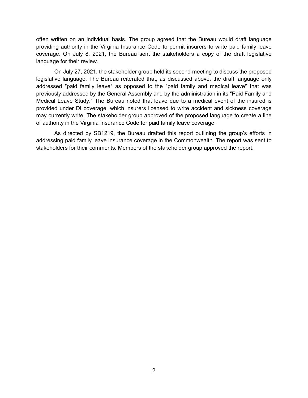often written on an individual basis. The group agreed that the Bureau would draft language providing authority in the Virginia Insurance Code to permit insurers to write paid family leave coverage. On July 8, 2021, the Bureau sent the stakeholders a copy of the draft legislative language for their review.

On July 27, 2021, the stakeholder group held its second meeting to discuss the proposed legislative language. The Bureau reiterated that, as discussed above, the draft language only addressed ″paid family leave″ as opposed to the ″paid family and medical leave″ that was previously addressed by the General Assembly and by the administration in its ″Paid Family and Medical Leave Study.″ The Bureau noted that leave due to a medical event of the insured is provided under DI coverage, which insurers licensed to write accident and sickness coverage may currently write. The stakeholder group approved of the proposed language to create a line of authority in the Virginia Insurance Code for paid family leave coverage.

<span id="page-3-0"></span>As directed by SB1219, the Bureau drafted this report outlining the group's efforts in addressing paid family leave insurance coverage in the Commonwealth. The report was sent to stakeholders for their comments. Members of the stakeholder group approved the report.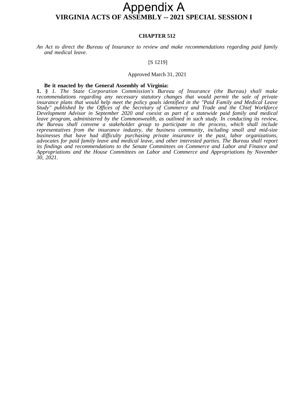### **VIRGINIA ACTS OF ASSEMBLY -- 2021 SPECIAL SESSION I** Appendix A

#### **CHAPTER 512**

*An Act to direct the Bureau of Insurance to review and make recommendations regarding paid family and medical leave.*

#### [S 1219]

#### Approved March 31, 2021

#### **Be it enacted by the General Assembly of Virginia:**

**1.** *§ 1. The State Corporation Commission's Bureau of Insurance (the Bureau) shall make recommendations regarding any necessary statutory changes that would permit the sale of private insurance plans that would help meet the policy goals identified in the "Paid Family and Medical Leave Study" published by the Offices of the Secretary of Commerce and Trade and the Chief Workforce Development Advisor in September 2020 and coexist as part of a statewide paid family and medical leave program, administered by the Commonwealth, as outlined in such study. In conducting its review, the Bureau shall convene a stakeholder group to participate in the process, which shall include representatives from the insurance industry, the business community, including small and mid-size businesses that have had difficulty purchasing private insurance in the past, labor organizations, advocates for paid family leave and medical leave, and other interested parties. The Bureau shall report its findings and recommendations to the Senate Committees on Commerce and Labor and Finance and Appropriations and the House Committees on Labor and Commerce and Appropriations by November 30, 2021.*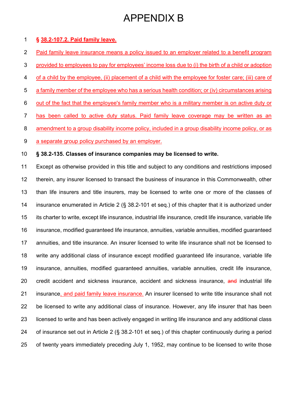#### **§ 38.2-107.2. Paid family leave.**

- 2 Paid family leave insurance means a policy issued to an employer related to a benefit program
- 3 provided to employees to pay for employees' income loss due to (i) the birth of a child or adoption
- 4 of a child by the employee, (ii) placement of a child with the employee for foster care; (iii) care of
- 5 a family member of the employee who has a serious health condition; or (iv) circumstances arising
- 6 out of the fact that the employee's family member who is a military member is on active duty or
- 7 has been called to active duty status. Paid family leave coverage may be written as an
- 8 amendment to a group disability income policy, included in a group disability income policy, or as
- 9 a separate group policy purchased by an employer.

#### **§ 38.2-135. Classes of insurance companies may be licensed to write.**

 Except as otherwise provided in this title and subject to any conditions and restrictions imposed therein, any insurer licensed to transact the business of insurance in this Commonwealth, other than life insurers and title insurers, may be licensed to write one or more of the classes of insurance enumerated in Article 2 (§ 38.2-101 et seq.) of this chapter that it is authorized under its charter to write, except life insurance, industrial life insurance, credit life insurance, variable life insurance, modified guaranteed life insurance, annuities, variable annuities, modified guaranteed annuities, and title insurance. An insurer licensed to write life insurance shall not be licensed to write any additional class of insurance except modified guaranteed life insurance, variable life insurance, annuities, modified guaranteed annuities, variable annuities, credit life insurance, 20 credit accident and sickness insurance, accident and sickness insurance, and industrial life insurance, and paid family leave insurance. An insurer licensed to write title insurance shall not be licensed to write any additional class of insurance. However, any life insurer that has been licensed to write and has been actively engaged in writing life insurance and any additional class of insurance set out in Article 2 (§ 38.2-101 et seq.) of this chapter continuously during a period of twenty years immediately preceding July 1, 1952, may continue to be licensed to write those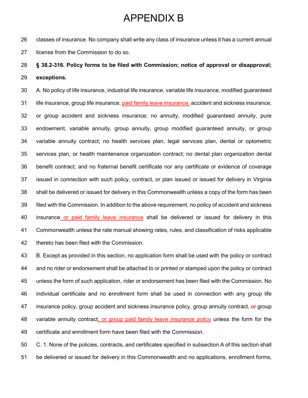classes of insurance. No company shall write any class of insurance unless it has a current annual license from the Commission to do so.

### **§ 38.2-316. Policy forms to be filed with Commission; notice of approval or disapproval; exceptions.**

 A. No policy of life insurance, industrial life insurance, variable life insurance, modified guaranteed life insurance, group life insurance, paid family leave insurance, accident and sickness insurance, or group accident and sickness insurance; no annuity, modified guaranteed annuity, pure endowment, variable annuity, group annuity, group modified guaranteed annuity, or group variable annuity contract; no health services plan, legal services plan, dental or optometric services plan, or health maintenance organization contract; no dental plan organization dental benefit contract; and no fraternal benefit certificate nor any certificate or evidence of coverage issued in connection with such policy, contract, or plan issued or issued for delivery in Virginia shall be delivered or issued for delivery in this Commonwealth unless a copy of the form has been filed with the Commission. In addition to the above requirement, no policy of accident and sickness insurance or paid family leave insurance shall be delivered or issued for delivery in this Commonwealth unless the rate manual showing rates, rules, and classification of risks applicable thereto has been filed with the Commission.

 B. Except as provided in this section, no application form shall be used with the policy or contract and no rider or endorsement shall be attached to or printed or stamped upon the policy or contract unless the form of such application, rider or endorsement has been filed with the Commission. No individual certificate and no enrollment form shall be used in connection with any group life 47 insurance policy, group accident and sickness insurance policy, group annuity contract, or group variable annuity contract, or group paid family leave insurance policy unless the form for the certificate and enrollment form have been filed with the Commission.

 C. 1. None of the policies, contracts, and certificates specified in subsection A of this section shall be delivered or issued for delivery in this Commonwealth and no applications, enrollment forms,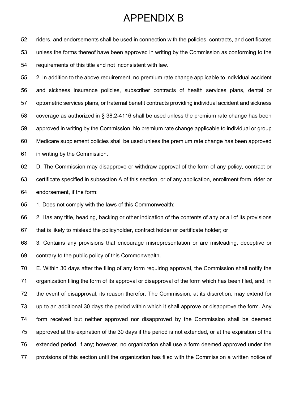riders, and endorsements shall be used in connection with the policies, contracts, and certificates unless the forms thereof have been approved in writing by the Commission as conforming to the requirements of this title and not inconsistent with law.

 2. In addition to the above requirement, no premium rate change applicable to individual accident and sickness insurance policies, subscriber contracts of health services plans, dental or optometric services plans, or fraternal benefit contracts providing individual accident and sickness coverage as authorized in § 38.2-4116 shall be used unless the premium rate change has been approved in writing by the Commission. No premium rate change applicable to individual or group Medicare supplement policies shall be used unless the premium rate change has been approved in writing by the Commission.

 D. The Commission may disapprove or withdraw approval of the form of any policy, contract or certificate specified in subsection A of this section, or of any application, enrollment form, rider or endorsement, if the form:

1. Does not comply with the laws of this Commonwealth;

 2. Has any title, heading, backing or other indication of the contents of any or all of its provisions that is likely to mislead the policyholder, contract holder or certificate holder; or

 3. Contains any provisions that encourage misrepresentation or are misleading, deceptive or contrary to the public policy of this Commonwealth.

 E. Within 30 days after the filing of any form requiring approval, the Commission shall notify the organization filing the form of its approval or disapproval of the form which has been filed, and, in the event of disapproval, its reason therefor. The Commission, at its discretion, may extend for up to an additional 30 days the period within which it shall approve or disapprove the form. Any form received but neither approved nor disapproved by the Commission shall be deemed approved at the expiration of the 30 days if the period is not extended, or at the expiration of the extended period, if any; however, no organization shall use a form deemed approved under the provisions of this section until the organization has filed with the Commission a written notice of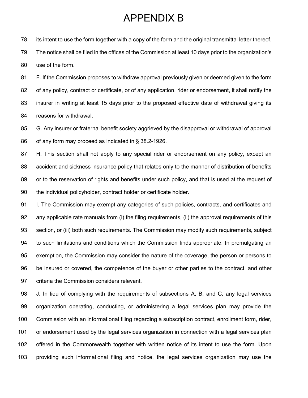its intent to use the form together with a copy of the form and the original transmittal letter thereof. The notice shall be filed in the offices of the Commission at least 10 days prior to the organization's use of the form.

 F. If the Commission proposes to withdraw approval previously given or deemed given to the form of any policy, contract or certificate, or of any application, rider or endorsement, it shall notify the insurer in writing at least 15 days prior to the proposed effective date of withdrawal giving its reasons for withdrawal.

 G. Any insurer or fraternal benefit society aggrieved by the disapproval or withdrawal of approval of any form may proceed as indicated in § 38.2-1926.

 H. This section shall not apply to any special rider or endorsement on any policy, except an accident and sickness insurance policy that relates only to the manner of distribution of benefits or to the reservation of rights and benefits under such policy, and that is used at the request of the individual policyholder, contract holder or certificate holder.

91 I. The Commission may exempt any categories of such policies, contracts, and certificates and any applicable rate manuals from (i) the filing requirements, (ii) the approval requirements of this section, or (iii) both such requirements. The Commission may modify such requirements, subject to such limitations and conditions which the Commission finds appropriate. In promulgating an exemption, the Commission may consider the nature of the coverage, the person or persons to be insured or covered, the competence of the buyer or other parties to the contract, and other criteria the Commission considers relevant.

 J. In lieu of complying with the requirements of subsections A, B, and C, any legal services organization operating, conducting, or administering a legal services plan may provide the Commission with an informational filing regarding a subscription contract, enrollment form, rider, or endorsement used by the legal services organization in connection with a legal services plan offered in the Commonwealth together with written notice of its intent to use the form. Upon providing such informational filing and notice, the legal services organization may use the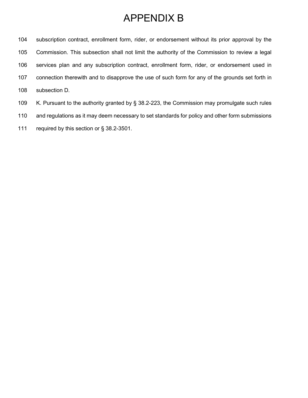subscription contract, enrollment form, rider, or endorsement without its prior approval by the Commission. This subsection shall not limit the authority of the Commission to review a legal services plan and any subscription contract, enrollment form, rider, or endorsement used in connection therewith and to disapprove the use of such form for any of the grounds set forth in subsection D.

- K. Pursuant to the authority granted by § 38.2-223, the Commission may promulgate such rules
- and regulations as it may deem necessary to set standards for policy and other form submissions
- required by this section or § 38.2-3501.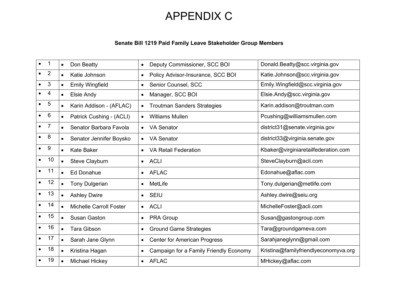# APPENDIX C

### **Senate Bill 1219 Paid Family Leave Stakeholder Group Members**

| $\bullet$ | 1              | $\bullet$ | Don Beatty                     | $\bullet$ | Deputy Commissioner, SCC BOI           | Donald.Beatty@scc.virginia.gov       |
|-----------|----------------|-----------|--------------------------------|-----------|----------------------------------------|--------------------------------------|
|           | $\overline{2}$ | $\bullet$ | Katie Johnson                  | $\bullet$ | Policy Advisor-Insurance, SCC BOI      | Katie.Johnson@scc.virginia.gov       |
|           | 3              | $\bullet$ | <b>Emily Wingfield</b>         | $\bullet$ | Senior Counsel, SCC                    | Emily.Wingfield@scc.virginia.gov     |
|           | 4              | $\bullet$ | Elsie Andy                     | $\bullet$ | Manager, SCC BOI                       | Elsie.Andy@scc.virginia.gov          |
|           | 5              | $\bullet$ | Karin Addison - (AFLAC)        | $\bullet$ | <b>Troutman Sanders Strategies</b>     | Karin.addison@troutman.com           |
|           | 6              | $\bullet$ | Patrick Cushing - (ACLI)       | $\bullet$ | <b>Williams Mullen</b>                 | Pcushing@williamsmullen.com          |
|           | $\overline{7}$ | $\bullet$ | Senator Barbara Favola         | $\bullet$ | <b>VA Senator</b>                      | district31@senate.virginia.gov       |
|           | 8              | $\bullet$ | Senator Jennifer Boysko        | $\bullet$ | <b>VA Senator</b>                      | district33@virginia.senate.gov       |
|           | 9              | $\bullet$ | <b>Kate Baker</b>              |           | <b>VA Retail Federation</b>            | Kbaker@virginiaretailfederation.com  |
|           | 10             | $\bullet$ | Steve Clayburn                 | $\bullet$ | <b>ACLI</b>                            | SteveClayburn@acli.com               |
|           | 11             | $\bullet$ | <b>Ed Donahue</b>              | $\bullet$ | <b>AFLAC</b>                           | Edonahue@aflac.com                   |
|           | 12             | $\bullet$ | <b>Tony Dulgerian</b>          | $\bullet$ | MetLife                                | Tony.dulgerian@metlife.com           |
|           | 13             | $\bullet$ | <b>Ashley Dwire</b>            | $\bullet$ | <b>SEIU</b>                            | Ashley.dwire@seiu.org                |
|           | 14             | $\bullet$ | <b>Michelle Carroll Foster</b> | $\bullet$ | <b>ACLI</b>                            | MichelleFoster@acli.com              |
|           | 15             | $\bullet$ | <b>Susan Gaston</b>            | $\bullet$ | <b>PRA Group</b>                       | Susan@gastongroup.com                |
|           | 16             | $\bullet$ | <b>Tara Gibson</b>             | $\bullet$ | <b>Ground Game Strategies</b>          | Tara@groundgameva.com                |
|           | 17             | $\bullet$ | Sarah Jane Glynn               | $\bullet$ | <b>Center for American Progress</b>    | Sarahjaneglynn@gmail.com             |
|           | 18             | $\bullet$ | Kristina Hagan                 | $\bullet$ | Campaign for a Family Friendly Economy | Kristina@familyfriendlyeconomyva.org |
|           | 19             | $\bullet$ | Michael Hickey                 | $\bullet$ | <b>AFLAC</b>                           | MHickey@aflac.com                    |